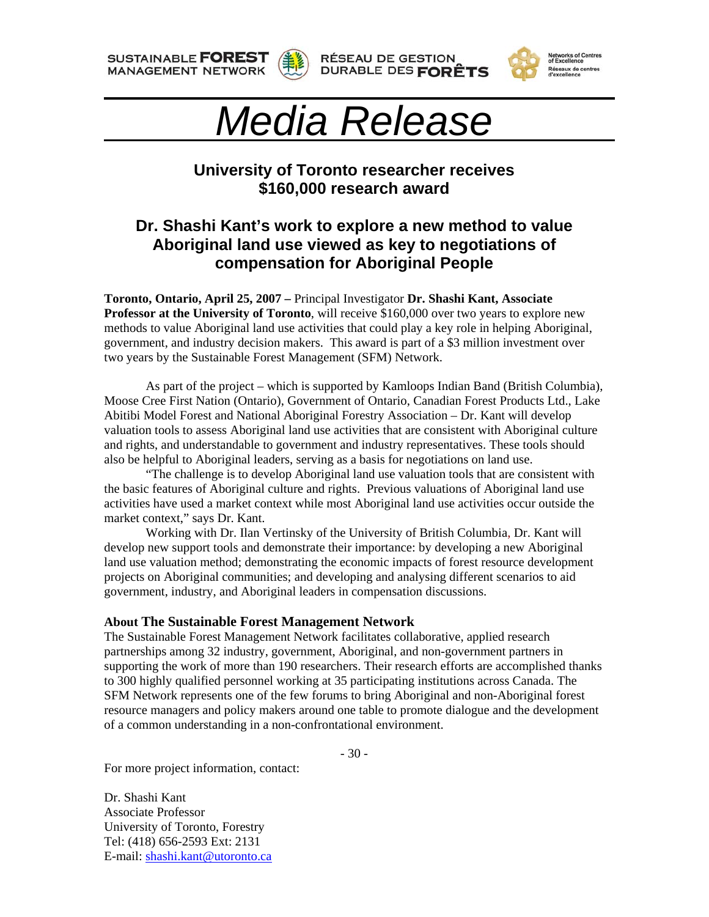**SUSTAINABLE FOREST MANAGEMENT NETWORK** 









## *Media Release*

## **University of Toronto researcher receives \$160,000 research award**

## **Dr. Shashi Kant's work to explore a new method to value Aboriginal land use viewed as key to negotiations of compensation for Aboriginal People**

**Toronto, Ontario, April 25, 2007 –** Principal Investigator **Dr. Shashi Kant, Associate Professor at the University of Toronto**, will receive \$160,000 over two years to explore new methods to value Aboriginal land use activities that could play a key role in helping Aboriginal, government, and industry decision makers. This award is part of a \$3 million investment over two years by the Sustainable Forest Management (SFM) Network.

 As part of the project – which is supported by Kamloops Indian Band (British Columbia), Moose Cree First Nation (Ontario), Government of Ontario, Canadian Forest Products Ltd., Lake Abitibi Model Forest and National Aboriginal Forestry Association – Dr. Kant will develop valuation tools to assess Aboriginal land use activities that are consistent with Aboriginal culture and rights, and understandable to government and industry representatives. These tools should also be helpful to Aboriginal leaders, serving as a basis for negotiations on land use.

"The challenge is to develop Aboriginal land use valuation tools that are consistent with the basic features of Aboriginal culture and rights. Previous valuations of Aboriginal land use activities have used a market context while most Aboriginal land use activities occur outside the market context," says Dr. Kant.

Working with Dr. Ilan Vertinsky of the University of British Columbia, Dr. Kant will develop new support tools and demonstrate their importance: by developing a new Aboriginal land use valuation method; demonstrating the economic impacts of forest resource development projects on Aboriginal communities; and developing and analysing different scenarios to aid government, industry, and Aboriginal leaders in compensation discussions.

## **About The Sustainable Forest Management Network**

The Sustainable Forest Management Network facilitates collaborative, applied research partnerships among 32 industry, government, Aboriginal, and non-government partners in supporting the work of more than 190 researchers. Their research efforts are accomplished thanks to 300 highly qualified personnel working at 35 participating institutions across Canada. The SFM Network represents one of the few forums to bring Aboriginal and non-Aboriginal forest resource managers and policy makers around one table to promote dialogue and the development of a common understanding in a non-confrontational environment.

- 30 -

For more project information, contact:

Dr. Shashi Kant Associate Professor University of Toronto, Forestry Tel: (418) 656-2593 Ext: 2131 E-mail: [shashi.kant@utoronto.ca](mailto:shashi.kant@utoronto.ca)